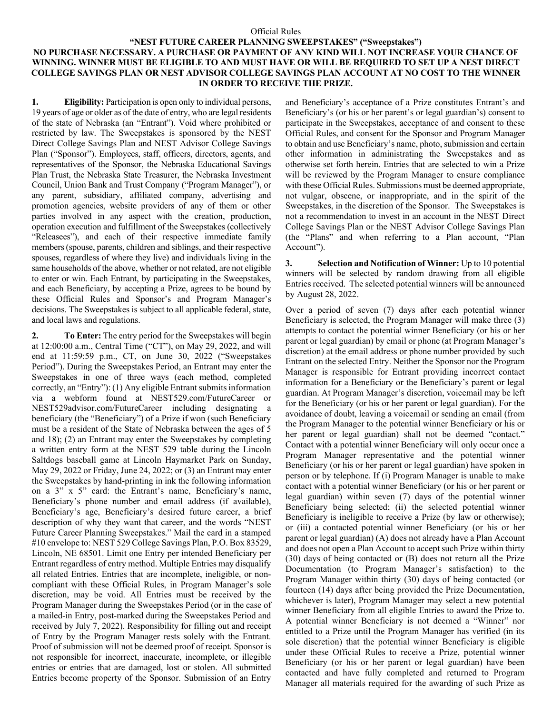## Official Rules

## **"NEST FUTURE CAREER PLANNING SWEEPSTAKES" ("Sweepstakes") NO PURCHASE NECESSARY. A PURCHASE OR PAYMENT OF ANY KIND WILL NOT INCREASE YOUR CHANCE OF WINNING. WINNER MUST BE ELIGIBLE TO AND MUST HAVE OR WILL BE REQUIRED TO SET UP A NEST DIRECT COLLEGE SAVINGS PLAN OR NEST ADVISOR COLLEGE SAVINGS PLAN ACCOUNT AT NO COST TO THE WINNER IN ORDER TO RECEIVE THE PRIZE.**

**1. Eligibility:** Participation is open only to individual persons, 19 years of age or older as of the date of entry, who are legal residents of the state of Nebraska (an "Entrant"). Void where prohibited or restricted by law. The Sweepstakes is sponsored by the NEST Direct College Savings Plan and NEST Advisor College Savings Plan ("Sponsor"). Employees, staff, officers, directors, agents, and representatives of the Sponsor, the Nebraska Educational Savings Plan Trust, the Nebraska State Treasurer, the Nebraska Investment Council, Union Bank and Trust Company ("Program Manager"), or any parent, subsidiary, affiliated company, advertising and promotion agencies, website providers of any of them or other parties involved in any aspect with the creation, production, operation execution and fulfillment of the Sweepstakes (collectively "Releasees"), and each of their respective immediate family members (spouse, parents, children and siblings, and their respective spouses, regardless of where they live) and individuals living in the same households of the above, whether or not related, are not eligible to enter or win. Each Entrant, by participating in the Sweepstakes, and each Beneficiary, by accepting a Prize, agrees to be bound by these Official Rules and Sponsor's and Program Manager's decisions. The Sweepstakes is subject to all applicable federal, state, and local laws and regulations.

**2. To Enter:** The entry period for the Sweepstakes will begin at 12:00:00 a.m., Central Time ("CT"), on May 29, 2022, and will end at 11:59:59 p.m., CT, on June 30, 2022 ("Sweepstakes Period"). During the Sweepstakes Period, an Entrant may enter the Sweepstakes in one of three ways (each method, completed correctly, an "Entry"): (1) Any eligible Entrant submits information via a webform found at NEST529.com/FutureCareer or NEST529advisor.com/FutureCareer including designating a beneficiary (the "Beneficiary") of a Prize if won (such Beneficiary must be a resident of the State of Nebraska between the ages of 5 and 18); (2) an Entrant may enter the Sweepstakes by completing a written entry form at the NEST 529 table during the Lincoln Saltdogs baseball game at Lincoln Haymarket Park on Sunday, May 29, 2022 or Friday, June 24, 2022; or (3) an Entrant may enter the Sweepstakes by hand-printing in ink the following information on a 3" x 5" card: the Entrant's name, Beneficiary's name, Beneficiary's phone number and email address (if available), Beneficiary's age, Beneficiary's desired future career, a brief description of why they want that career, and the words "NEST Future Career Planning Sweepstakes." Mail the card in a stamped #10 envelope to: NEST 529 College Savings Plan, P.O. Box 83529, Lincoln, NE 68501. Limit one Entry per intended Beneficiary per Entrant regardless of entry method. Multiple Entries may disqualify all related Entries. Entries that are incomplete, ineligible, or noncompliant with these Official Rules, in Program Manager's sole discretion, may be void. All Entries must be received by the Program Manager during the Sweepstakes Period (or in the case of a mailed-in Entry, post-marked during the Sweepstakes Period and received by July 7, 2022). Responsibility for filling out and receipt of Entry by the Program Manager rests solely with the Entrant. Proof of submission will not be deemed proof of receipt. Sponsor is not responsible for incorrect, inaccurate, incomplete, or illegible entries or entries that are damaged, lost or stolen. All submitted Entries become property of the Sponsor. Submission of an Entry

and Beneficiary's acceptance of a Prize constitutes Entrant's and Beneficiary's (or his or her parent's or legal guardian's) consent to participate in the Sweepstakes, acceptance of and consent to these Official Rules, and consent for the Sponsor and Program Manager to obtain and use Beneficiary's name, photo, submission and certain other information in administrating the Sweepstakes and as otherwise set forth herein. Entries that are selected to win a Prize will be reviewed by the Program Manager to ensure compliance with these Official Rules. Submissions must be deemed appropriate, not vulgar, obscene, or inappropriate, and in the spirit of the Sweepstakes, in the discretion of the Sponsor. The Sweepstakes is not a recommendation to invest in an account in the NEST Direct College Savings Plan or the NEST Advisor College Savings Plan (the "Plans" and when referring to a Plan account, "Plan Account").

**3. Selection and Notification of Winner:** Up to 10 potential winners will be selected by random drawing from all eligible Entries received. The selected potential winners will be announced by August 28, 2022.

Over a period of seven (7) days after each potential winner Beneficiary is selected, the Program Manager will make three (3) attempts to contact the potential winner Beneficiary (or his or her parent or legal guardian) by email or phone (at Program Manager's discretion) at the email address or phone number provided by such Entrant on the selected Entry. Neither the Sponsor nor the Program Manager is responsible for Entrant providing incorrect contact information for a Beneficiary or the Beneficiary's parent or legal guardian. At Program Manager's discretion, voicemail may be left for the Beneficiary (or his or her parent or legal guardian). For the avoidance of doubt, leaving a voicemail or sending an email (from the Program Manager to the potential winner Beneficiary or his or her parent or legal guardian) shall not be deemed "contact." Contact with a potential winner Beneficiary will only occur once a Program Manager representative and the potential winner Beneficiary (or his or her parent or legal guardian) have spoken in person or by telephone. If (i) Program Manager is unable to make contact with a potential winner Beneficiary (or his or her parent or legal guardian) within seven (7) days of the potential winner Beneficiary being selected; (ii) the selected potential winner Beneficiary is ineligible to receive a Prize (by law or otherwise); or (iii) a contacted potential winner Beneficiary (or his or her parent or legal guardian) (A) does not already have a Plan Account and does not open a Plan Account to accept such Prize within thirty (30) days of being contacted or (B) does not return all the Prize Documentation (to Program Manager's satisfaction) to the Program Manager within thirty (30) days of being contacted (or fourteen (14) days after being provided the Prize Documentation, whichever is later), Program Manager may select a new potential winner Beneficiary from all eligible Entries to award the Prize to. A potential winner Beneficiary is not deemed a "Winner" nor entitled to a Prize until the Program Manager has verified (in its sole discretion) that the potential winner Beneficiary is eligible under these Official Rules to receive a Prize, potential winner Beneficiary (or his or her parent or legal guardian) have been contacted and have fully completed and returned to Program Manager all materials required for the awarding of such Prize as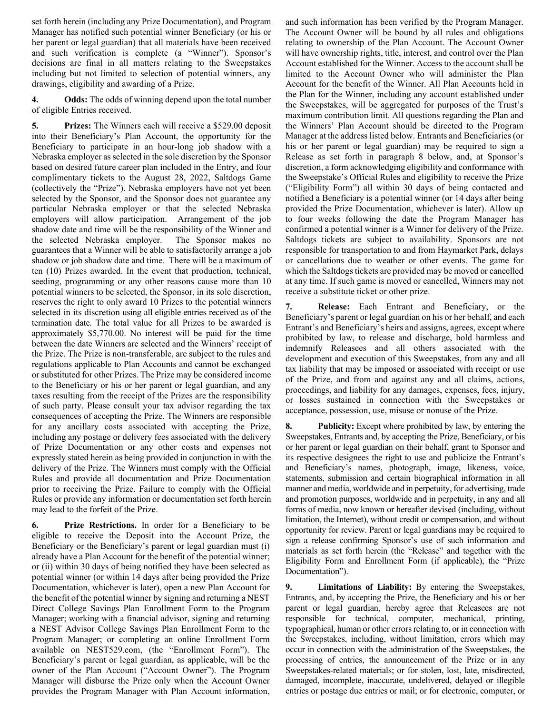set forth herein (including any Prize Documentation), and Program Manager has notified such potential winner Beneficiary (or his or her parent or legal guardian) that all materials have been received and such verification is complete (a "Winner"). Sponsor's decisions are final in all matters relating to the Sweepstakes including but not limited to selection of potential winners, any drawings, eligibility and awarding of a Prize.

**4. Odds:** The odds of winning depend upon the total number of eligible Entries received.

**5. Prizes:** The Winners each will receive a \$529.00 deposit into their Beneficiary's Plan Account, the opportunity for the Beneficiary to participate in an hour-long job shadow with a Nebraska employer as selected in the sole discretion by the Sponsor based on desired future career plan included in the Entry, and four complimentary tickets to the August 28, 2022, Saltdogs Game (collectively the "Prize"). Nebraska employers have not yet been selected by the Sponsor, and the Sponsor does not guarantee any particular Nebraska employer or that the selected Nebraska employers will allow participation. Arrangement of the job shadow date and time will be the responsibility of the Winner and the selected Nebraska employer. The Sponsor makes no guarantees that a Winner will be able to satisfactorily arrange a job shadow or job shadow date and time. There will be a maximum of ten (10) Prizes awarded. In the event that production, technical, seeding, programming or any other reasons cause more than 10 potential winners to be selected, the Sponsor, in its sole discretion, reserves the right to only award 10 Prizes to the potential winners selected in its discretion using all eligible entries received as of the termination date. The total value for all Prizes to be awarded is approximately \$5,770.00. No interest will be paid for the time between the date Winners are selected and the Winners' receipt of the Prize. The Prize is non-transferable, are subject to the rules and regulations applicable to Plan Accounts and cannot be exchanged or substituted for other Prizes. The Prize may be considered income to the Beneficiary or his or her parent or legal guardian, and any taxes resulting from the receipt of the Prizes are the responsibility of such party. Please consult your tax advisor regarding the tax consequences of accepting the Prize. The Winners are responsible for any ancillary costs associated with accepting the Prize, including any postage or delivery fees associated with the delivery of Prize Documentation or any other costs and expenses not expressly stated herein as being provided in conjunction in with the delivery of the Prize. The Winners must comply with the Official Rules and provide all documentation and Prize Documentation prior to receiving the Prize. Failure to comply with the Official Rules or provide any information or documentation set forth herein may lead to the forfeit of the Prize.

**6. Prize Restrictions.** In order for a Beneficiary to be eligible to receive the Deposit into the Account Prize, the Beneficiary or the Beneficiary's parent or legal guardian must (i) already have a Plan Account for the benefit of the potential winner; or (ii) within 30 days of being notified they have been selected as potential winner (or within 14 days after being provided the Prize Documentation, whichever is later), open a new Plan Account for the benefit of the potential winner by signing and returning a NEST Direct College Savings Plan Enrollment Form to the Program Manager; working with a financial advisor, signing and returning a NEST Advisor College Savings Plan Enrollment Form to the Program Manager; or completing an online Enrollment Form available on NEST529.com, (the "Enrollment Form"). The Beneficiary's parent or legal guardian, as applicable, will be the owner of the Plan Account ("Account Owner"). The Program Manager will disburse the Prize only when the Account Owner provides the Program Manager with Plan Account information, and such information has been verified by the Program Manager. The Account Owner will be bound by all rules and obligations relating to ownership of the Plan Account. The Account Owner will have ownership rights, title, interest, and control over the Plan Account established for the Winner. Access to the account shall be limited to the Account Owner who will administer the Plan Account for the benefit of the Winner. All Plan Accounts held in the Plan for the Winner, including any account established under the Sweepstakes, will be aggregated for purposes of the Trust's maximum contribution limit. All questions regarding the Plan and the Winners' Plan Account should be directed to the Program Manager at the address listed below. Entrants and Beneficiaries (or his or her parent or legal guardian) may be required to sign a Release as set forth in paragraph 8 below, and, at Sponsor's discretion, a form acknowledging eligibility and conformance with the Sweepstake's Official Rules and eligibility to receive the Prize ("Eligibility Form") all within 30 days of being contacted and notified a Beneficiary is a potential winner (or 14 days after being provided the Prize Documentation, whichever is later). Allow up to four weeks following the date the Program Manager has confirmed a potential winner is a Winner for delivery of the Prize. Saltdogs tickets are subject to availability. Sponsors are not responsible for transportation to and from Haymarket Park, delays or cancellations due to weather or other events. The game for which the Saltdogs tickets are provided may be moved or cancelled at any time. If such game is moved or cancelled, Winners may not receive a substitute ticket or other prize.

**7. Release:** Each Entrant and Beneficiary, or the Beneficiary's parent or legal guardian on his or her behalf, and each Entrant's and Beneficiary's heirs and assigns, agrees, except where prohibited by law, to release and discharge, hold harmless and indemnify Releasees and all others associated with the development and execution of this Sweepstakes, from any and all tax liability that may be imposed or associated with receipt or use of the Prize, and from and against any and all claims, actions, proceedings, and liability for any damages, expenses, fees, injury, or losses sustained in connection with the Sweepstakes or acceptance, possession, use, misuse or nonuse of the Prize.

**8. Publicity:** Except where prohibited by law, by entering the Sweepstakes, Entrants and, by accepting the Prize, Beneficiary, or his or her parent or legal guardian on their behalf, grant to Sponsor and its respective designees the right to use and publicize the Entrant's and Beneficiary's names, photograph, image, likeness, voice, statements, submission and certain biographical information in all manner and media, worldwide and in perpetuity, for advertising, trade and promotion purposes, worldwide and in perpetuity, in any and all forms of media, now known or hereafter devised (including, without limitation, the Internet), without credit or compensation, and without opportunity for review. Parent or legal guardians may be required to sign a release confirming Sponsor's use of such information and materials as set forth herein (the "Release" and together with the Eligibility Form and Enrollment Form (if applicable), the "Prize Documentation").

**9. Limitations of Liability:** By entering the Sweepstakes, Entrants, and, by accepting the Prize, the Beneficiary and his or her parent or legal guardian, hereby agree that Releasees are not responsible for technical, computer, mechanical, printing, typographical, human or other errors relating to, or in connection with the Sweepstakes, including, without limitation, errors which may occur in connection with the administration of the Sweepstakes, the processing of entries, the announcement of the Prize or in any Sweepstakes-related materials; or for stolen, lost, late, misdirected, damaged, incomplete, inaccurate, undelivered, delayed or illegible entries or postage due entries or mail; or for electronic, computer, or